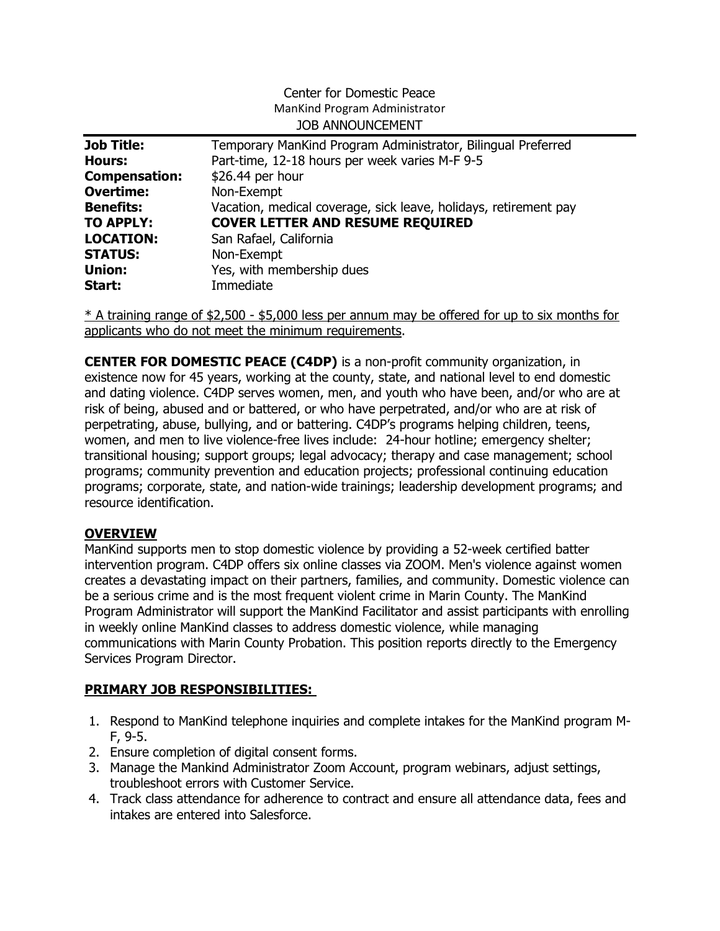#### Center for Domestic Peace ManKind Program Administrator JOB ANNOUNCEMENT

| <b>Job Title:</b>    | Temporary ManKind Program Administrator, Bilingual Preferred     |
|----------------------|------------------------------------------------------------------|
| <b>Hours:</b>        | Part-time, 12-18 hours per week varies M-F 9-5                   |
| <b>Compensation:</b> | \$26.44 per hour                                                 |
| <b>Overtime:</b>     | Non-Exempt                                                       |
| <b>Benefits:</b>     | Vacation, medical coverage, sick leave, holidays, retirement pay |
| <b>TO APPLY:</b>     | <b>COVER LETTER AND RESUME REQUIRED</b>                          |
| <b>LOCATION:</b>     | San Rafael, California                                           |
| <b>STATUS:</b>       | Non-Exempt                                                       |
| <b>Union:</b>        | Yes, with membership dues                                        |
| Start:               | Immediate                                                        |

\* A training range of \$2,500 - \$5,000 less per annum may be offered for up to six months for applicants who do not meet the minimum requirements.

CENTER FOR DOMESTIC PEACE (C4DP) is a non-profit community organization, in existence now for 45 years, working at the county, state, and national level to end domestic and dating violence. C4DP serves women, men, and youth who have been, and/or who are at risk of being, abused and or battered, or who have perpetrated, and/or who are at risk of perpetrating, abuse, bullying, and or battering. C4DP's programs helping children, teens, women, and men to live violence-free lives include: 24-hour hotline; emergency shelter; transitional housing; support groups; legal advocacy; therapy and case management; school programs; community prevention and education projects; professional continuing education programs; corporate, state, and nation-wide trainings; leadership development programs; and resource identification.

### **OVERVIEW**

ManKind supports men to stop domestic violence by providing a 52-week certified batter intervention program. C4DP offers six online classes via ZOOM. Men's violence against women creates a devastating impact on their partners, families, and community. Domestic violence can be a serious crime and is the most frequent violent crime in Marin County. The ManKind Program Administrator will support the ManKind Facilitator and assist participants with enrolling in weekly online ManKind classes to address domestic violence, while managing communications with Marin County Probation. This position reports directly to the Emergency Services Program Director.

## PRIMARY JOB RESPONSIBILITIES:

- 1. Respond to ManKind telephone inquiries and complete intakes for the ManKind program M-F, 9-5.
- 2. Ensure completion of digital consent forms.
- 3. Manage the Mankind Administrator Zoom Account, program webinars, adjust settings, troubleshoot errors with Customer Service.
- 4. Track class attendance for adherence to contract and ensure all attendance data, fees and intakes are entered into Salesforce.